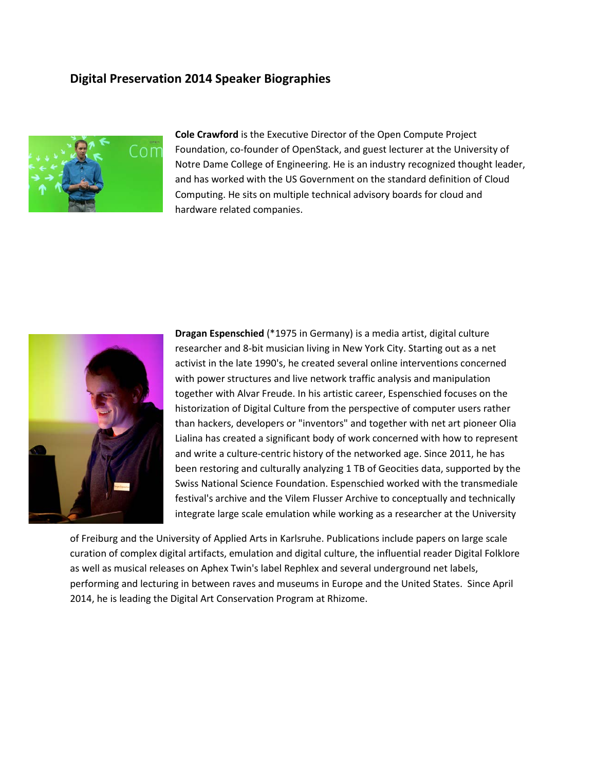## **Digital Preservation 2014 Speaker Biographies**



**Cole Crawford** is the Executive Director of the Open Compute Project Foundation, co-founder of OpenStack, and guest lecturer at the University of Notre Dame College of Engineering. He is an industry recognized thought leader, and has worked with the US Government on the standard definition of Cloud Computing. He sits on multiple technical advisory boards for cloud and hardware related companies.



**Dragan Espenschied** (\*1975 in Germany) is a media artist, digital culture researcher and 8-bit musician living in New York City. Starting out as a net activist in the late 1990's, he created several online interventions concerned with power structures and live network traffic analysis and manipulation together with Alvar Freude. In his artistic career, Espenschied focuses on the historization of Digital Culture from the perspective of computer users rather than hackers, developers or "inventors" and together with net art pioneer Olia Lialina has created a significant body of work concerned with how to represent and write a culture-centric history of the networked age. Since 2011, he has been restoring and culturally analyzing 1 TB of Geocities data, supported by the Swiss National Science Foundation. Espenschied worked with the transmediale festival's archive and the Vilem Flusser Archive to conceptually and technically integrate large scale emulation while working as a researcher at the University

of Freiburg and the University of Applied Arts in Karlsruhe. Publications include papers on large scale curation of complex digital artifacts, emulation and digital culture, the influential reader Digital Folklore as well as musical releases on Aphex Twin's label Rephlex and several underground net labels, performing and lecturing in between raves and museums in Europe and the United States. Since April 2014, he is leading the Digital Art Conservation Program at Rhizome.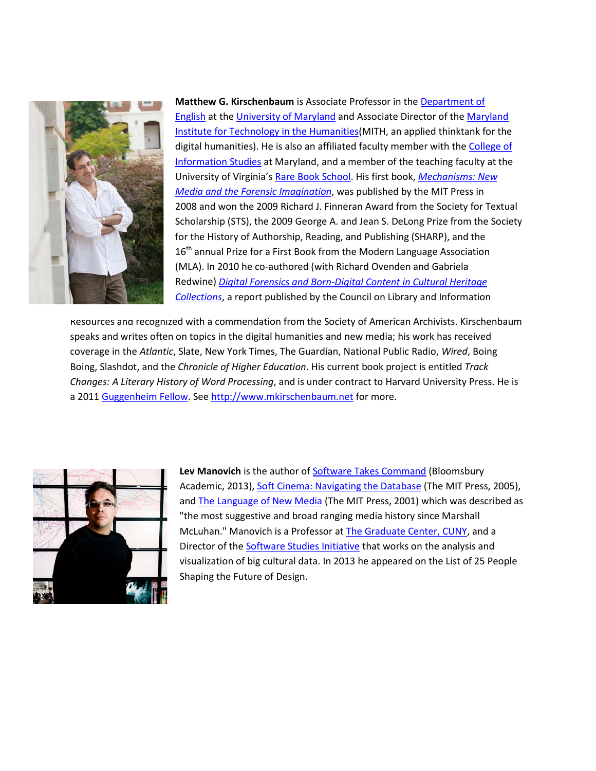

**Matthew G. Kirschenbaum** is Associate Professor in the **Department of** [English](http://www.english.umd.edu/) at the [University of Maryland](http://www.umd.edu/) and Associate Director of the [Maryland](http://www.mith2.umd.edu/)  [Institute for Technology in the Humanities\(](http://www.mith2.umd.edu/)MITH, an applied thinktank for the digital humanities). He is also an affiliated faculty member with the [College of](http://www.ischool.umd.edu/)  [Information Studies](http://www.ischool.umd.edu/) at Maryland, and a member of the teaching faculty at the University of Virginia's [Rare Book School.](http://www.rarebookschool.org/) His first book, *[Mechanisms: New](http://mechanisms-book.blogspot.com/%20/t%20_blank)  [Media and the Forensic Imagination](http://mechanisms-book.blogspot.com/%20/t%20_blank)*, was published by the MIT Press in 2008 and won the 2009 Richard J. Finneran Award from the Society for Textual Scholarship (STS), the 2009 George A. and Jean S. DeLong Prize from the Society for the History of Authorship, Reading, and Publishing (SHARP), and the 16<sup>th</sup> annual Prize for a First Book from the Modern Language Association (MLA). In 2010 he co-authored (with Richard Ovenden and Gabriela Redwine) *[Digital Forensics and Born-Digital Content in Cultural Heritage](http://www.clir.org/pubs/abstract/pub149abst.html)  [Collections](http://www.clir.org/pubs/abstract/pub149abst.html)*, a report published by the Council on Library and Information

Resources and recognized with a commendation from the Society of American Archivists. Kirschenbaum speaks and writes often on topics in the digital humanities and new media; his work has received coverage in the *Atlantic*, Slate, New York Times, The Guardian, National Public Radio, *Wired*, Boing Boing, Slashdot, and the *Chronicle of Higher Education*. His current book project is entitled *Track Changes: A Literary History of Word Processing*, and is under contract to Harvard University Press. He is a 2011 [Guggenheim Fellow.](http://www.gf.org/) See [http://www.mkirschenbaum.net](http://www.mkirschenbaum.net/) for more.



Lev Manovich is the author of **Software Takes Command** (Bloomsbury Academic, 2013), [Soft Cinema: Navigating the Database](http://manovich.net/index.php/projects/soft-cinema) (The MIT Press, 2005), and [The Language of New Media](http://manovich.net/index.php/projects/language-of-new-media) (The MIT Press, 2001) which was described as "the most suggestive and broad ranging media history since Marshall McLuhan." Manovich is a Professor a[t The Graduate Center, CUNY,](http://www.gc.cuny.edu/Home) and a Director of the **Software Studies Initiative** that works on the analysis and visualization of big cultural data. In 2013 he appeared on the List of 25 People Shaping the Future of Design.